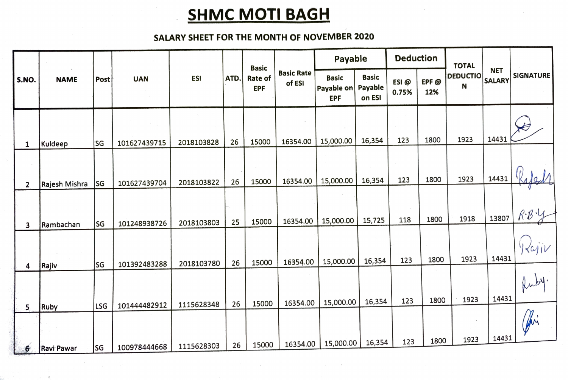## **SHMC MOTI BAGH**

## SALARY SHEET FOR THE MONTH OF NOVEMBER 2020

|                                           | <b>NAME</b>                | Post       | <b>UAN</b>                   | <b>ESI</b>               | ATD.     | <b>Basic</b><br><b>Rate of</b><br><b>EPF</b> | <b>Basic Rate</b><br>of ESI | Payable                                          |                        | <b>Deduction</b> |             | <b>TOTAL</b>         |                             |                            |
|-------------------------------------------|----------------------------|------------|------------------------------|--------------------------|----------|----------------------------------------------|-----------------------------|--------------------------------------------------|------------------------|------------------|-------------|----------------------|-----------------------------|----------------------------|
| S.NO.                                     |                            |            |                              |                          |          |                                              |                             | <b>Basic</b><br>Payable on Payable<br><b>EPF</b> | <b>Basic</b><br>on ESI | ESI@<br>0.75%    | EPF@<br>12% | <b>DEDUCTIO</b><br>N | <b>NET</b><br><b>SALARY</b> | <b>SIGNATURE</b>           |
|                                           |                            |            |                              |                          |          |                                              | 16354.00                    | 15,000.00                                        | 16,354                 | 123              | 1800        | 1923                 | 14431                       |                            |
| $\mathbf{1}$                              | Kuldeep                    | SG         | 101627439715                 | 2018103828<br>2018103822 | 26<br>26 | 15000<br>15000                               | 16354.00                    | 15,000.00                                        | 16,354                 | 123              | 1800        | 1923                 | 14431                       |                            |
| $\overline{2}$<br>$\overline{\mathbf{3}}$ | Rajesh Mishra<br>Rambachan | lsg<br> SG | 101627439704<br>101248938726 | 2018103803               | 25       | 15000                                        | 16354.00                    | 15,000.00                                        | 15,725                 | 118              | 1800        | 1918                 | 13807                       |                            |
| 4                                         | Rajiv                      | lsg        | 101392483288                 | 2018103780               | 26       | 15000                                        | 16354.00                    | 15,000.00                                        | 16,354                 | 123              | 1800        | 1923                 | 14431                       | $\langle \omega j \rangle$ |
| 5                                         | Ruby                       | LSG        | 101444482912                 | 1115628348               | 26       | 15000                                        | 16354.00                    | 15,000.00                                        | 16,354                 | 123              | 1800        | 1923                 | 14431                       |                            |
| 6                                         | <b>Ravi Pawar</b>          | SG         | 100978444668                 | 1115628303               | 26       | 15000                                        | 16354.00                    | 15,000.00                                        | 16,354                 | 123              | 1800        | 1923                 | 14431                       | fri                        |